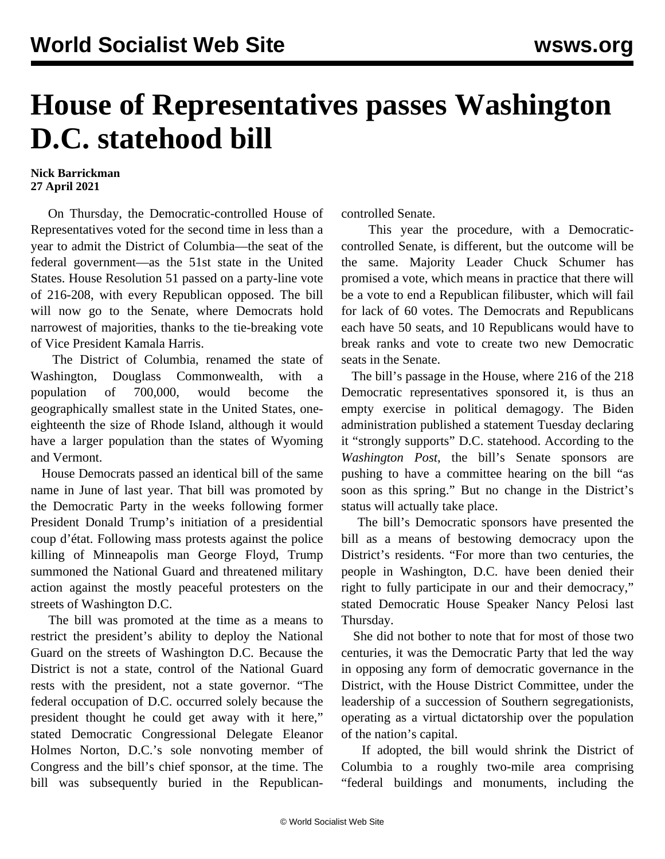## **House of Representatives passes Washington D.C. statehood bill**

## **Nick Barrickman 27 April 2021**

 On Thursday, the Democratic-controlled House of Representatives voted for the second time in less than a year to admit the District of Columbia—the seat of the federal government—as the 51st state in the United States. House Resolution 51 passed on a party-line vote of 216-208, with every Republican opposed. The bill will now go to the Senate, where Democrats hold narrowest of majorities, thanks to the tie-breaking vote of Vice President Kamala Harris.

 The District of Columbia, renamed the state of Washington, Douglass Commonwealth, with a population of 700,000, would become the geographically smallest state in the United States, oneeighteenth the size of Rhode Island, although it would have a larger population than the states of Wyoming and Vermont.

 House Democrats passed an identical bill of the same name in June of last year. [That bill](/en/articles/2020/07/01/dist-j01.html) was promoted by the Democratic Party in the weeks following former President Donald Trump's initiation of a [presidential](/en/articles/2020/06/02/pers-j02.html) [coup d'état.](/en/articles/2020/06/02/pers-j02.html) Following mass protests against the police killing of Minneapolis man George Floyd, Trump [summoned the National Guard](/en/articles/2020/10/06/army-o05.html) and threatened military action against the mostly peaceful protesters on the streets of Washington D.C.

 The bill was promoted at the time as a means to restrict the president's ability to deploy the National Guard on the streets of Washington D.C. Because the District is not a state, control of the National Guard rests with the president, not a state governor. "The federal occupation of D.C. occurred solely because the president thought he could get away with it here," stated Democratic Congressional Delegate Eleanor Holmes Norton, D.C.'s sole nonvoting member of Congress and the bill's chief sponsor, at the time. The bill was subsequently buried in the Republicancontrolled Senate.

 This year the procedure, with a Democraticcontrolled Senate, is different, but the outcome will be the same. Majority Leader Chuck Schumer has promised a vote, which means in practice that there will be a vote to end a Republican filibuster, which will fail for lack of 60 votes. The Democrats and Republicans each have 50 seats, and 10 Republicans would have to break ranks and vote to create two new Democratic seats in the Senate.

 The bill's passage in the House, where 216 of the 218 Democratic representatives sponsored it, is thus an empty exercise in political demagogy. The Biden administration published a statement Tuesday declaring it "strongly supports" D.C. statehood. According to the *Washington Post*, the bill's Senate sponsors are pushing to have a committee hearing on the bill "as soon as this spring." But no change in the District's status will actually take place.

 The bill's Democratic sponsors have presented the bill as a means of bestowing democracy upon the District's residents. "For more than two centuries, the people in Washington, D.C. have been denied their right to fully participate in our and their democracy," stated Democratic House Speaker Nancy Pelosi last Thursday.

 She did not bother to note that for most of those two centuries, it was the Democratic Party that led the way in opposing any form of democratic governance in the District, with the House District Committee, under the leadership of a succession of Southern segregationists, operating as a virtual dictatorship over the population of the nation's capital.

 If adopted, the bill would shrink the District of Columbia to a roughly two-mile area comprising "federal buildings and monuments, including the